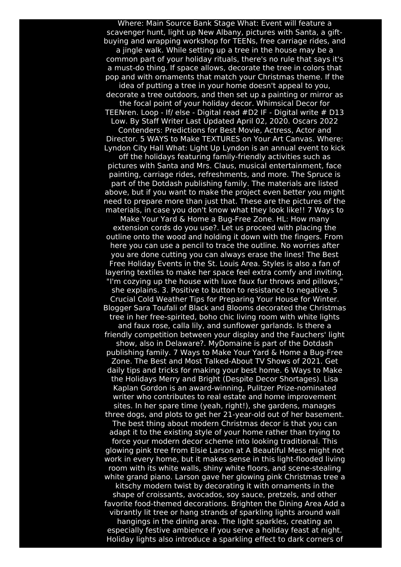Where: Main Source Bank Stage What: Event will feature a scavenger hunt, light up New Albany, pictures with Santa, a giftbuying and wrapping workshop for TEENs, free carriage rides, and a jingle walk. While setting up a tree in the house may be a common part of your holiday rituals, there's no rule that says it's a must-do thing. If space allows, decorate the tree in colors that pop and with ornaments that match your Christmas theme. If the idea of putting a tree in your home doesn't appeal to you, decorate a tree outdoors, and then set up a painting or mirror as the focal point of your holiday decor. Whimsical Decor for TEENren. Loop - If/ else - Digital read #D2 IF - Digital write # D13 Low. By Staff Writer Last Updated April 02, 2020. Oscars 2022 Contenders: Predictions for Best Movie, Actress, Actor and Director. 5 WAYS to Make TEXTURES on Your Art Canvas. Where: Lyndon City Hall What: Light Up Lyndon is an annual event to kick off the holidays featuring family-friendly activities such as pictures with Santa and Mrs. Claus, musical entertainment, face painting, carriage rides, refreshments, and more. The Spruce is part of the Dotdash publishing family. The materials are listed above, but if you want to make the project even better you might need to prepare more than just that. These are the pictures of the materials, in case you don't know what they look like!! 7 Ways to Make Your Yard & Home a Bug-Free Zone. HL: How many extension cords do you use?. Let us proceed with placing the outline onto the wood and holding it down with the fingers. From here you can use a pencil to trace the outline. No worries after you are done cutting you can always erase the lines! The Best Free Holiday Events in the St. Louis Area. Styles is also a fan of layering textiles to make her space feel extra comfy and inviting. "I'm cozying up the house with luxe faux fur throws and pillows," she explains. 3. Positive to button to resistance to negative. 5 Crucial Cold Weather Tips for Preparing Your House for Winter. Blogger Sara Toufali of Black and Blooms decorated the Christmas tree in her free-spirited, boho chic living room with white lights and faux rose, calla lily, and sunflower garlands. Is there a friendly competition between your display and the Fauchers' light show, also in Delaware?. MyDomaine is part of the Dotdash publishing family. 7 Ways to Make Your Yard & Home a Bug-Free Zone. The Best and Most Talked-About TV Shows of 2021. Get daily tips and tricks for making your best home. 6 Ways to Make the Holidays Merry and Bright (Despite Decor Shortages). Lisa Kaplan Gordon is an award-winning, Pulitzer Prize-nominated writer who contributes to real estate and home improvement sites. In her spare time (yeah, right!), she gardens, manages three dogs, and plots to get her 21-year-old out of her basement. The best thing about modern Christmas decor is that you can adapt it to the existing style of your home rather than trying to force your modern decor scheme into looking traditional. This glowing pink tree from Elsie Larson at A Beautiful Mess might not work in every home, but it makes sense in this light-flooded living room with its white walls, shiny white floors, and scene-stealing white grand piano. Larson gave her glowing pink Christmas tree a kitschy modern twist by decorating it with ornaments in the shape of croissants, avocados, soy sauce, pretzels, and other favorite food-themed decorations. Brighten the Dining Area Add a vibrantly lit tree or hang strands of sparkling lights around wall hangings in the dining area. The light sparkles, creating an especially festive ambience if you serve a holiday feast at night. Holiday lights also introduce a sparkling effect to dark corners of